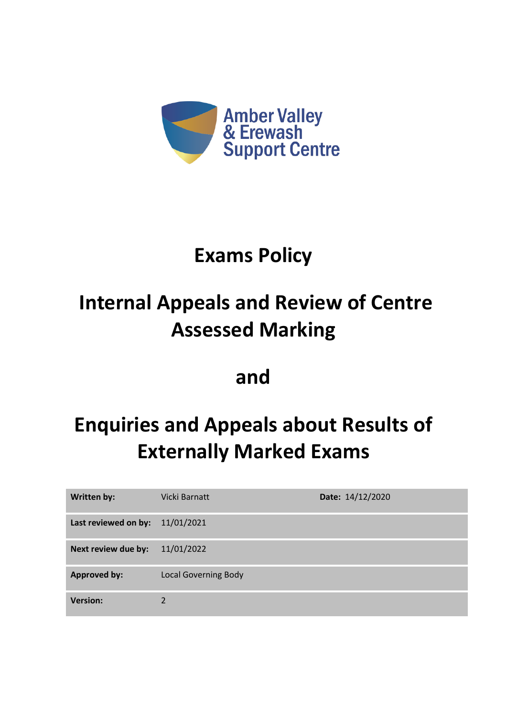

### **Exams Policy**

## **Internal Appeals and Review of Centre Assessed Marking**

### **and**

# **Enquiries and Appeals about Results of Externally Marked Exams**

| Written by:          | Vicki Barnatt               | Date: 14/12/2020 |
|----------------------|-----------------------------|------------------|
| Last reviewed on by: | 11/01/2021                  |                  |
| Next review due by:  | 11/01/2022                  |                  |
| <b>Approved by:</b>  | <b>Local Governing Body</b> |                  |
| <b>Version:</b>      | 2                           |                  |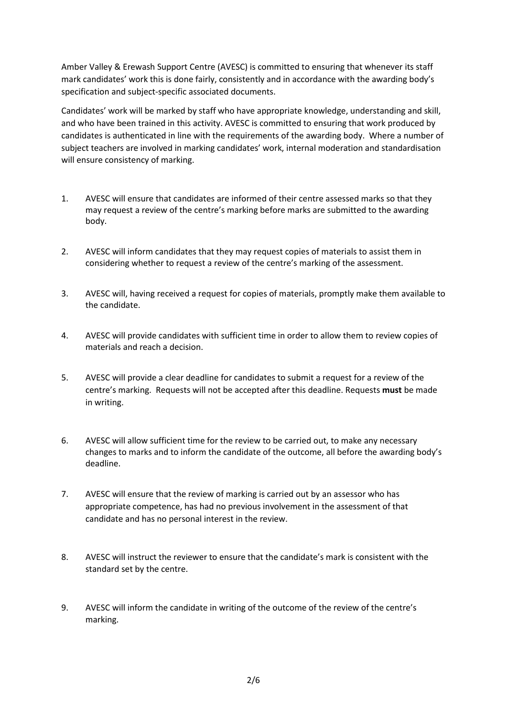Amber Valley & Erewash Support Centre (AVESC) is committed to ensuring that whenever its staff mark candidates' work this is done fairly, consistently and in accordance with the awarding body's specification and subject-specific associated documents.

Candidates' work will be marked by staff who have appropriate knowledge, understanding and skill, and who have been trained in this activity. AVESC is committed to ensuring that work produced by candidates is authenticated in line with the requirements of the awarding body. Where a number of subject teachers are involved in marking candidates' work, internal moderation and standardisation will ensure consistency of marking.

- 1. AVESC will ensure that candidates are informed of their centre assessed marks so that they may request a review of the centre's marking before marks are submitted to the awarding body.
- 2. AVESC will inform candidates that they may request copies of materials to assist them in considering whether to request a review of the centre's marking of the assessment.
- 3. AVESC will, having received a request for copies of materials, promptly make them available to the candidate.
- 4. AVESC will provide candidates with sufficient time in order to allow them to review copies of materials and reach a decision.
- 5. AVESC will provide a clear deadline for candidates to submit a request for a review of the centre's marking. Requests will not be accepted after this deadline. Requests **must** be made in writing.
- 6. AVESC will allow sufficient time for the review to be carried out, to make any necessary changes to marks and to inform the candidate of the outcome, all before the awarding body's deadline.
- 7. AVESC will ensure that the review of marking is carried out by an assessor who has appropriate competence, has had no previous involvement in the assessment of that candidate and has no personal interest in the review.
- 8. AVESC will instruct the reviewer to ensure that the candidate's mark is consistent with the standard set by the centre.
- 9. AVESC will inform the candidate in writing of the outcome of the review of the centre's marking.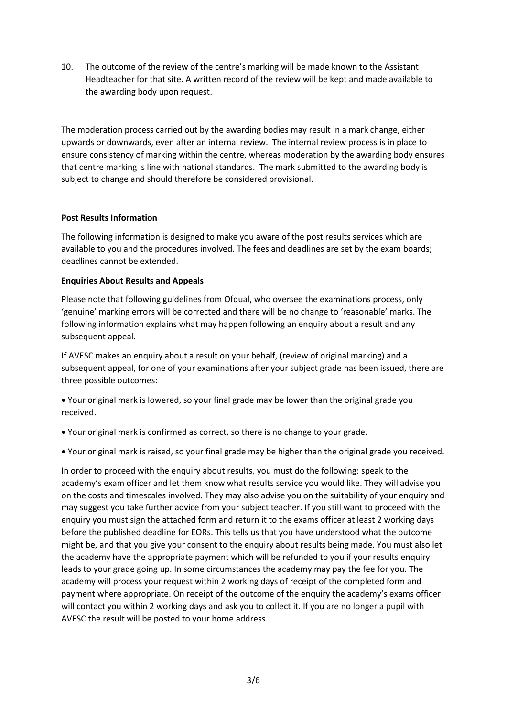10. The outcome of the review of the centre's marking will be made known to the Assistant Headteacher for that site. A written record of the review will be kept and made available to the awarding body upon request.

The moderation process carried out by the awarding bodies may result in a mark change, either upwards or downwards, even after an internal review. The internal review process is in place to ensure consistency of marking within the centre, whereas moderation by the awarding body ensures that centre marking is line with national standards. The mark submitted to the awarding body is subject to change and should therefore be considered provisional.

#### **Post Results Information**

The following information is designed to make you aware of the post results services which are available to you and the procedures involved. The fees and deadlines are set by the exam boards; deadlines cannot be extended.

#### **Enquiries About Results and Appeals**

Please note that following guidelines from Ofqual, who oversee the examinations process, only 'genuine' marking errors will be corrected and there will be no change to 'reasonable' marks. The following information explains what may happen following an enquiry about a result and any subsequent appeal.

If AVESC makes an enquiry about a result on your behalf, (review of original marking) and a subsequent appeal, for one of your examinations after your subject grade has been issued, there are three possible outcomes:

• Your original mark is lowered, so your final grade may be lower than the original grade you received.

- Your original mark is confirmed as correct, so there is no change to your grade.
- Your original mark is raised, so your final grade may be higher than the original grade you received.

In order to proceed with the enquiry about results, you must do the following: speak to the academy's exam officer and let them know what results service you would like. They will advise you on the costs and timescales involved. They may also advise you on the suitability of your enquiry and may suggest you take further advice from your subject teacher. If you still want to proceed with the enquiry you must sign the attached form and return it to the exams officer at least 2 working days before the published deadline for EORs. This tells us that you have understood what the outcome might be, and that you give your consent to the enquiry about results being made. You must also let the academy have the appropriate payment which will be refunded to you if your results enquiry leads to your grade going up. In some circumstances the academy may pay the fee for you. The academy will process your request within 2 working days of receipt of the completed form and payment where appropriate. On receipt of the outcome of the enquiry the academy's exams officer will contact you within 2 working days and ask you to collect it. If you are no longer a pupil with AVESC the result will be posted to your home address.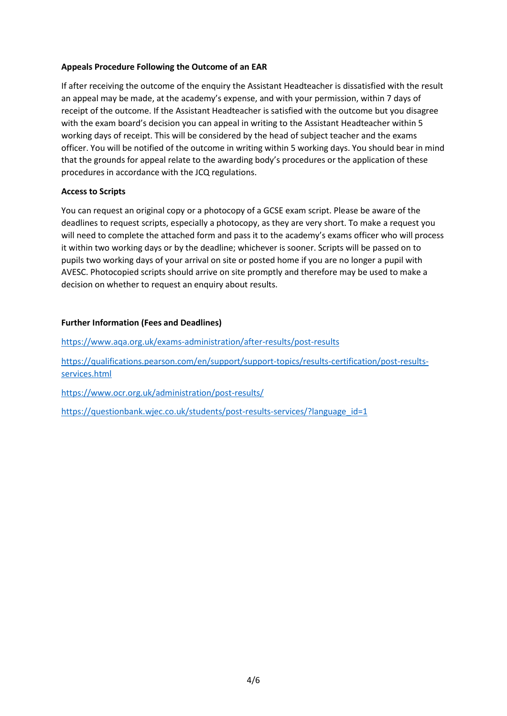#### **Appeals Procedure Following the Outcome of an EAR**

If after receiving the outcome of the enquiry the Assistant Headteacher is dissatisfied with the result an appeal may be made, at the academy's expense, and with your permission, within 7 days of receipt of the outcome. If the Assistant Headteacher is satisfied with the outcome but you disagree with the exam board's decision you can appeal in writing to the Assistant Headteacher within 5 working days of receipt. This will be considered by the head of subject teacher and the exams officer. You will be notified of the outcome in writing within 5 working days. You should bear in mind that the grounds for appeal relate to the awarding body's procedures or the application of these procedures in accordance with the JCQ regulations.

#### **Access to Scripts**

You can request an original copy or a photocopy of a GCSE exam script. Please be aware of the deadlines to request scripts, especially a photocopy, as they are very short. To make a request you will need to complete the attached form and pass it to the academy's exams officer who will process it within two working days or by the deadline; whichever is sooner. Scripts will be passed on to pupils two working days of your arrival on site or posted home if you are no longer a pupil with AVESC. Photocopied scripts should arrive on site promptly and therefore may be used to make a decision on whether to request an enquiry about results.

#### **Further Information (Fees and Deadlines)**

<https://www.aqa.org.uk/exams-administration/after-results/post-results>

[https://qualifications.pearson.com/en/support/support-topics/results-certification/post-results](https://qualifications.pearson.com/en/support/support-topics/results-certification/post-results-services.html)[services.html](https://qualifications.pearson.com/en/support/support-topics/results-certification/post-results-services.html)

<https://www.ocr.org.uk/administration/post-results/>

https://questionbank.wjec.co.uk/students/post-results-services/?language\_id=1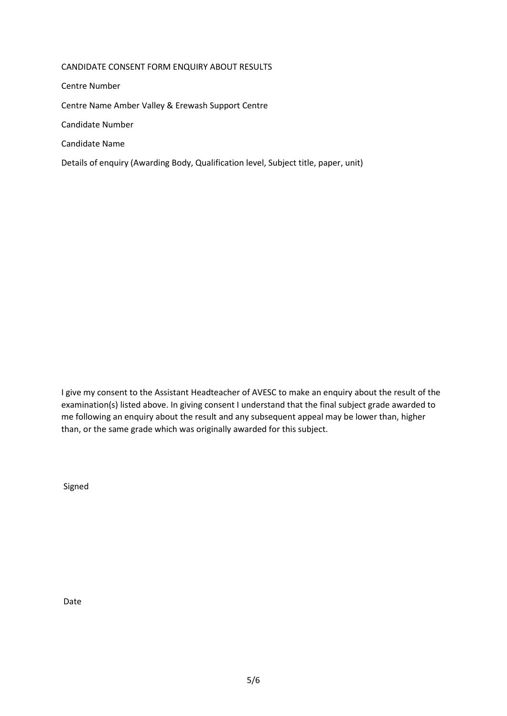#### CANDIDATE CONSENT FORM ENQUIRY ABOUT RESULTS

Centre Number

Centre Name Amber Valley & Erewash Support Centre

Candidate Number

Candidate Name

Details of enquiry (Awarding Body, Qualification level, Subject title, paper, unit)

I give my consent to the Assistant Headteacher of AVESC to make an enquiry about the result of the examination(s) listed above. In giving consent I understand that the final subject grade awarded to me following an enquiry about the result and any subsequent appeal may be lower than, higher than, or the same grade which was originally awarded for this subject.

Signed

Date